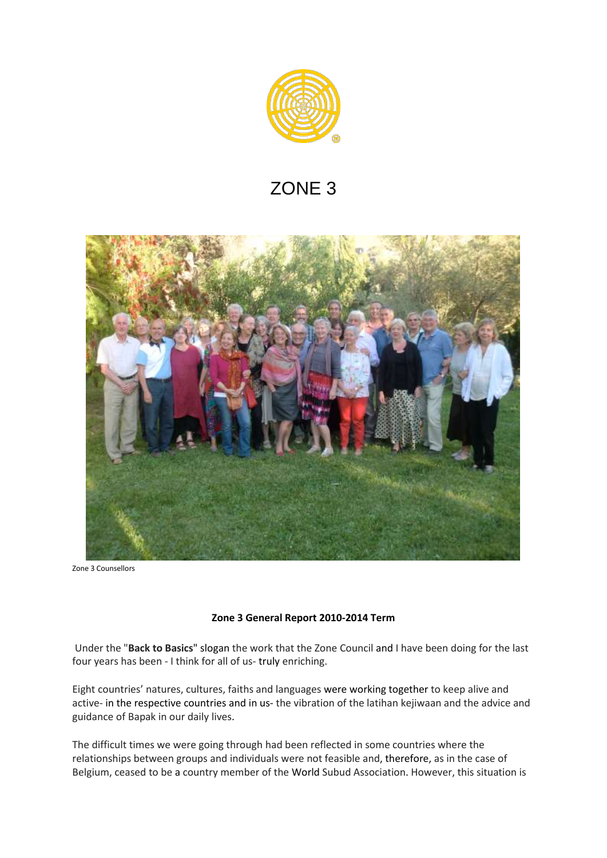

# ZONE 3



Zone 3 Counsellors

## **Zone 3 General Report 2010-2014 Term**

Under the "**Back to Basics**" slogan the work that the Zone Council and I have been doing for the last four years has been - I think for all of us- truly enriching.

Eight countries' natures, cultures, faiths and languages were working together to keep alive and active- in the respective countries and in us- the vibration of the latihan kejiwaan and the advice and guidance of Bapak in our daily lives.

The difficult times we were going through had been reflected in some countries where the relationships between groups and individuals were not feasible and, therefore, as in the case of Belgium, ceased to be a country member of the World Subud Association. However, this situation is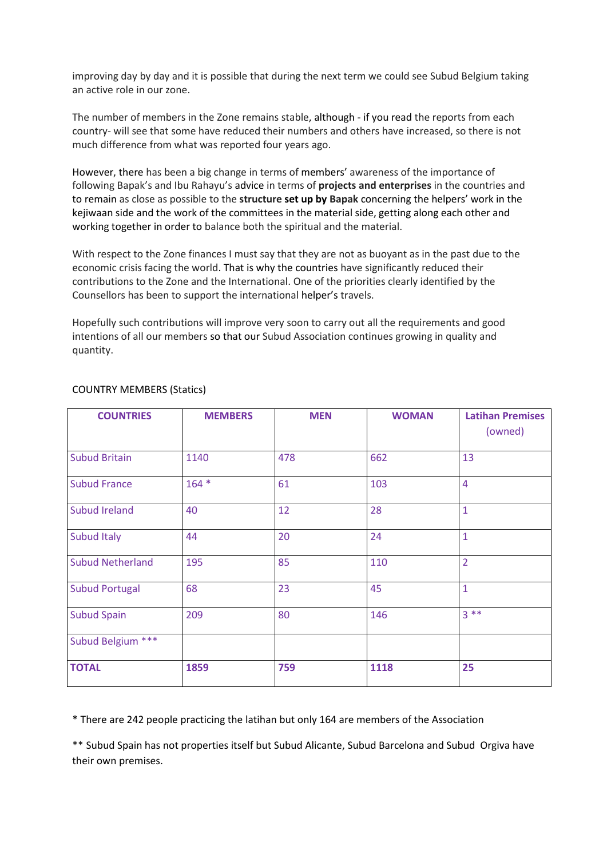improving day by day and it is possible that during the next term we could see Subud Belgium taking an active role in our zone.

The number of members in the Zone remains stable, although - if you read the reports from each country- will see that some have reduced their numbers and others have increased, so there is not much difference from what was reported four years ago.

However, there has been a big change in terms of members' awareness of the importance of following Bapak's and Ibu Rahayu's advice in terms of **projects and enterprises** in the countries and to remain as close as possible to the **structure set up by Bapak** concerning the helpers' work in the kejiwaan side and the work of the committees in the material side, getting along each other and working together in order to balance both the spiritual and the material.

With respect to the Zone finances I must say that they are not as buoyant as in the past due to the economic crisis facing the world. That is why the countries have significantly reduced their contributions to the Zone and the International. One of the priorities clearly identified by the Counsellors has been to support the international helper's travels.

Hopefully such contributions will improve very soon to carry out all the requirements and good intentions of all our members so that our Subud Association continues growing in quality and quantity.

| <b>COUNTRIES</b>        | <b>MEMBERS</b> | <b>MEN</b> | <b>WOMAN</b> | <b>Latihan Premises</b> |
|-------------------------|----------------|------------|--------------|-------------------------|
|                         |                |            |              | (owned)                 |
| <b>Subud Britain</b>    | 1140           | 478        | 662          | 13                      |
| <b>Subud France</b>     | $164 *$        | 61         | 103          | $\overline{4}$          |
| Subud Ireland           | 40             | 12         | 28           | $\mathbf{1}$            |
| <b>Subud Italy</b>      | 44             | 20         | 24           | $\mathbf{1}$            |
| <b>Subud Netherland</b> | 195            | 85         | 110          | $\overline{2}$          |
| <b>Subud Portugal</b>   | 68             | 23         | 45           | $\mathbf{1}$            |
| <b>Subud Spain</b>      | 209            | 80         | 146          | $3***$                  |
| Subud Belgium ***       |                |            |              |                         |
| <b>TOTAL</b>            | 1859           | 759        | 1118         | 25                      |

## COUNTRY MEMBERS (Statics)

\* There are 242 people practicing the latihan but only 164 are members of the Association

\*\* Subud Spain has not properties itself but Subud Alicante, Subud Barcelona and Subud Orgiva have their own premises.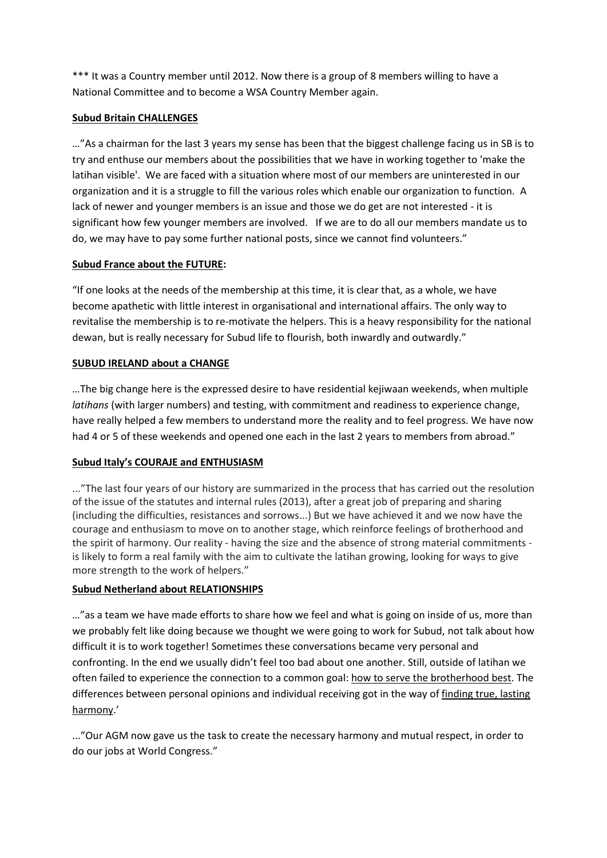\*\*\* It was a Country member until 2012. Now there is a group of 8 members willing to have a National Committee and to become a WSA Country Member again.

# **Subud Britain CHALLENGES**

…"As a chairman for the last 3 years my sense has been that the biggest challenge facing us in SB is to try and enthuse our members about the possibilities that we have in working together to 'make the latihan visible'. We are faced with a situation where most of our members are uninterested in our organization and it is a struggle to fill the various roles which enable our organization to function. A lack of newer and younger members is an issue and those we do get are not interested - it is significant how few younger members are involved. If we are to do all our members mandate us to do, we may have to pay some further national posts, since we cannot find volunteers."

# **Subud France about the FUTURE:**

"If one looks at the needs of the membership at this time, it is clear that, as a whole, we have become apathetic with little interest in organisational and international affairs. The only way to revitalise the membership is to re-motivate the helpers. This is a heavy responsibility for the national dewan, but is really necessary for Subud life to flourish, both inwardly and outwardly."

# **SUBUD IRELAND about a CHANGE**

…The big change here is the expressed desire to have residential kejiwaan weekends, when multiple *latihans* (with larger numbers) and testing, with commitment and readiness to experience change, have really helped a few members to understand more the reality and to feel progress. We have now had 4 or 5 of these weekends and opened one each in the last 2 years to members from abroad."

# **Subud Italy's COURAJE and ENTHUSIASM**

..."The last four years of our history are summarized in the process that has carried out the resolution of the issue of the statutes and internal rules (2013), after a great job of preparing and sharing (including the difficulties, resistances and sorrows...) But we have achieved it and we now have the courage and enthusiasm to move on to another stage, which reinforce feelings of brotherhood and the spirit of harmony. Our reality - having the size and the absence of strong material commitments is likely to form a real family with the aim to cultivate the latihan growing, looking for ways to give more strength to the work of helpers."

# **Subud Netherland about RELATIONSHIPS**

…"as a team we have made efforts to share how we feel and what is going on inside of us, more than we probably felt like doing because we thought we were going to work for Subud, not talk about how difficult it is to work together! Sometimes these conversations became very personal and confronting. In the end we usually didn't feel too bad about one another. Still, outside of latihan we often failed to experience the connection to a common goal: how to serve the brotherhood best. The differences between personal opinions and individual receiving got in the way of finding true, lasting harmony.'

..."Our AGM now gave us the task to create the necessary harmony and mutual respect, in order to do our jobs at World Congress."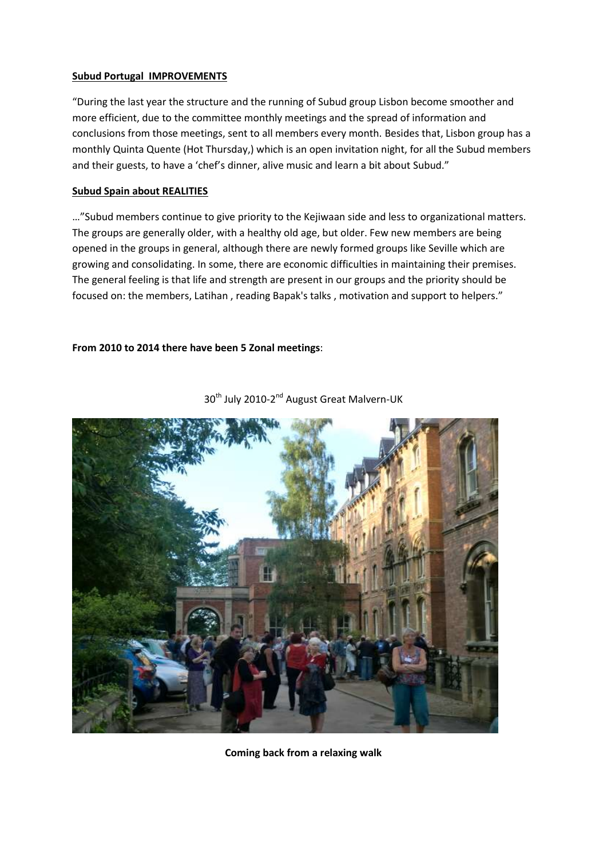## **Subud Portugal IMPROVEMENTS**

"During the last year the structure and the running of Subud group Lisbon become smoother and more efficient, due to the committee monthly meetings and the spread of information and conclusions from those meetings, sent to all members every month. Besides that, Lisbon group has a monthly Quinta Quente (Hot Thursday,) which is an open invitation night, for all the Subud members and their guests, to have a 'chef's dinner, alive music and learn a bit about Subud."

## **Subud Spain about REALITIES**

…"Subud members continue to give priority to the Kejiwaan side and less to organizational matters. The groups are generally older, with a healthy old age, but older. Few new members are being opened in the groups in general, although there are newly formed groups like Seville which are growing and consolidating. In some, there are economic difficulties in maintaining their premises. The general feeling is that life and strength are present in our groups and the priority should be focused on: the members, Latihan , reading Bapak's talks , motivation and support to helpers."

## **From 2010 to 2014 there have been 5 Zonal meetings**:



30<sup>th</sup> July 2010-2<sup>nd</sup> August Great Malvern-UK

**Coming back from a relaxing walk**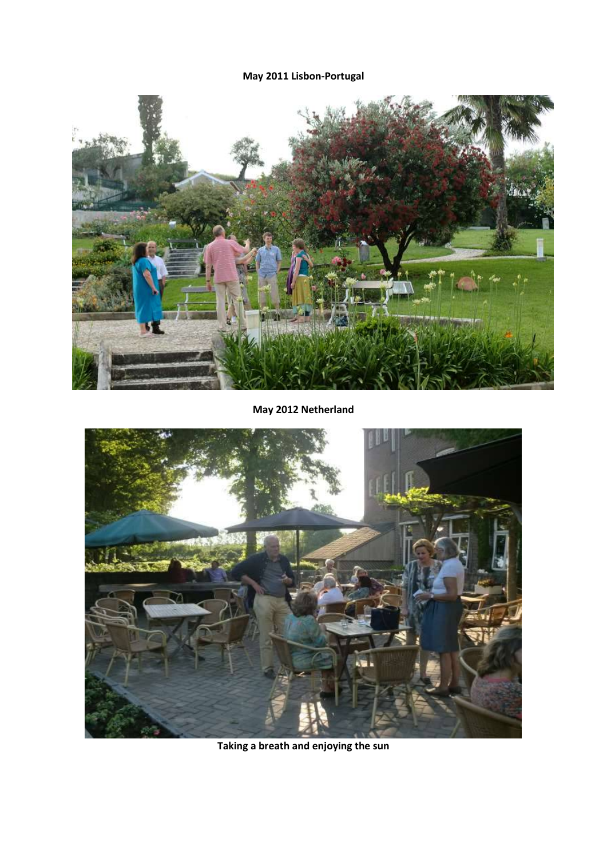**May 2011 Lisbon-Portugal**



**May 2012 Netherland**



**Taking a breath and enjoying the sun**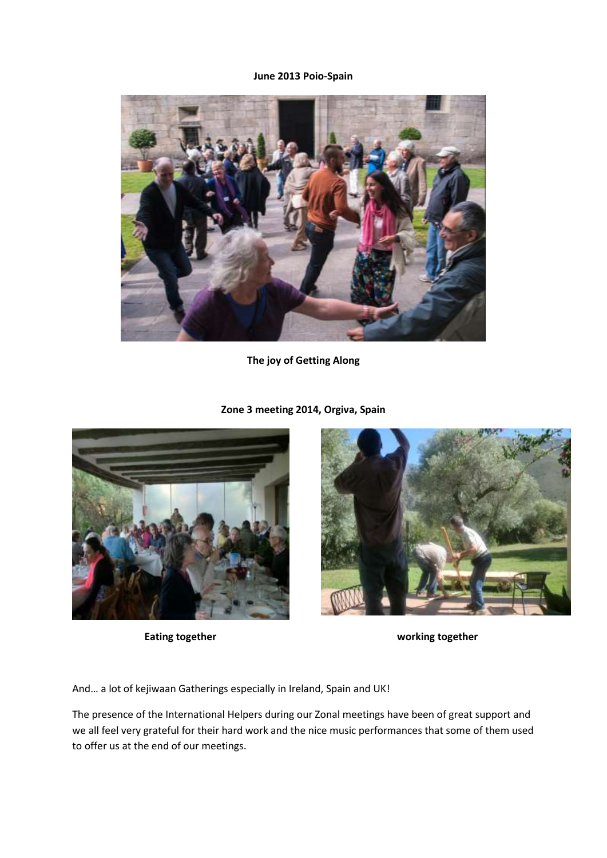#### **June 2013 Poio-Spain**



**The joy of Getting Along**

**Zone 3 meeting 2014, Orgiva, Spain**





**Eating together working together**

And… a lot of kejiwaan Gatherings especially in Ireland, Spain and UK!

The presence of the International Helpers during our Zonal meetings have been of great support and we all feel very grateful for their hard work and the nice music performances that some of them used to offer us at the end of our meetings.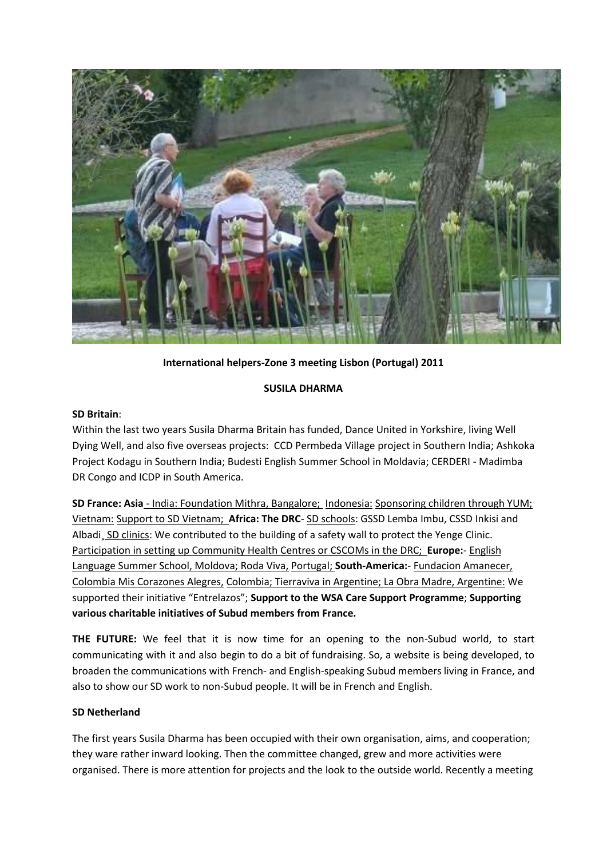

# **International helpers-Zone 3 meeting Lisbon (Portugal) 2011**

## **SUSILA DHARMA**

## **SD Britain**:

Within the last two years Susila Dharma Britain has funded, Dance United in Yorkshire, living Well Dying Well, and also five overseas projects: CCD Permbeda Village project in Southern India; Ashkoka Project Kodagu in Southern India; Budesti English Summer School in Moldavia; CERDERI - Madimba DR Congo and ICDP in South America.

**SD France: Asia** - India: Foundation Mithra, Bangalore; Indonesia: Sponsoring children through YUM; Vietnam: Support to SD Vietnam; **Africa: The DRC**- SD schools: GSSD Lemba Imbu, CSSD Inkisi and Albadi, SD clinics: We contributed to the building of a safety wall to protect the Yenge Clinic. Participation in setting up Community Health Centres or CSCOMs in the DRC; **Europe:**- English Language Summer School, Moldova; Roda Viva, Portugal; **South-America:**- Fundacion Amanecer, Colombia Mis Corazones Alegres, Colombia; Tierraviva in Argentine; La Obra Madre, Argentine: We supported their initiative "Entrelazos"; **Support to the WSA Care Support Programme**; **Supporting various charitable initiatives of Subud members from France.**

**THE FUTURE:** We feel that it is now time for an opening to the non-Subud world, to start communicating with it and also begin to do a bit of fundraising. So, a website is being developed, to broaden the communications with French- and English-speaking Subud members living in France, and also to show our SD work to non-Subud people. It will be in French and English.

## **SD Netherland**

The first years Susila Dharma has been occupied with their own organisation, aims, and cooperation; they ware rather inward looking. Then the committee changed, grew and more activities were organised. There is more attention for projects and the look to the outside world. Recently a meeting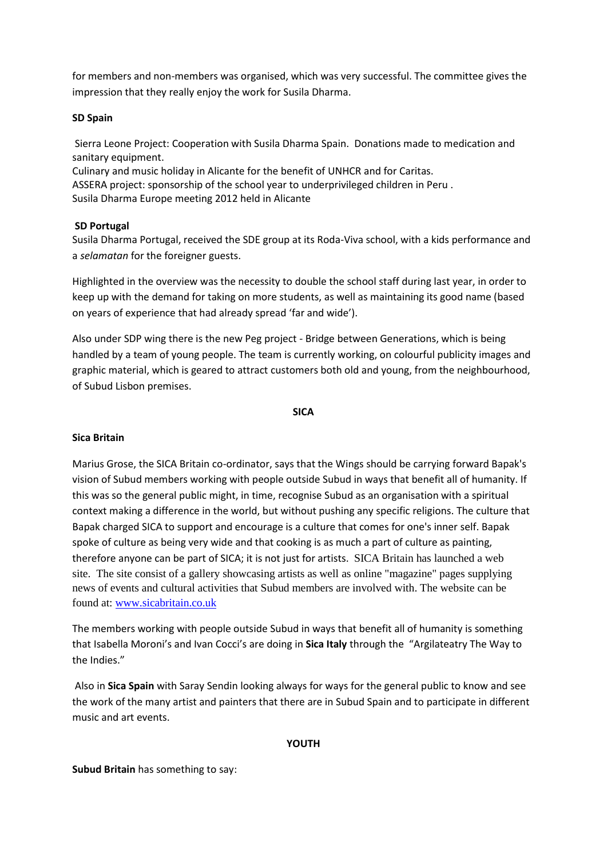for members and non-members was organised, which was very successful. The committee gives the impression that they really enjoy the work for Susila Dharma.

## **SD Spain**

Sierra Leone Project: Cooperation with Susila Dharma Spain. Donations made to medication and sanitary equipment.

Culinary and music holiday in Alicante for the benefit of UNHCR and for Caritas. ASSERA project: sponsorship of the school year to underprivileged children in Peru . Susila Dharma Europe meeting 2012 held in Alicante

## **SD Portugal**

Susila Dharma Portugal, received the SDE group at its Roda-Viva school, with a kids performance and a *selamatan* for the foreigner guests.

Highlighted in the overview was the necessity to double the school staff during last year, in order to keep up with the demand for taking on more students, as well as maintaining its good name (based on years of experience that had already spread 'far and wide').

Also under SDP wing there is the new Peg project - Bridge between Generations, which is being handled by a team of young people. The team is currently working, on colourful publicity images and graphic material, which is geared to attract customers both old and young, from the neighbourhood, of Subud Lisbon premises.

#### **SICA**

## **Sica Britain**

Marius Grose, the SICA Britain co-ordinator, says that the Wings should be carrying forward Bapak's vision of Subud members working with people outside Subud in ways that benefit all of humanity. If this was so the general public might, in time, recognise Subud as an organisation with a spiritual context making a difference in the world, but without pushing any specific religions. The culture that Bapak charged SICA to support and encourage is a culture that comes for one's inner self. Bapak spoke of culture as being very wide and that cooking is as much a part of culture as painting, therefore anyone can be part of SICA; it is not just for artists. SICA Britain has launched a web site. The site consist of a gallery showcasing artists as well as online "magazine" pages supplying news of events and cultural activities that Subud members are involved with. The website can be found at: [www.sicabritain.co.uk](http://www.sicabritain.co.uk/)

The members working with people outside Subud in ways that benefit all of humanity is something that Isabella Moroni's and Ivan Cocci's are doing in **Sica Italy** through the "Argilateatry The Way to the Indies."

Also in **Sica Spain** with Saray Sendin looking always for ways for the general public to know and see the work of the many artist and painters that there are in Subud Spain and to participate in different music and art events.

## **YOUTH**

**Subud Britain** has something to say: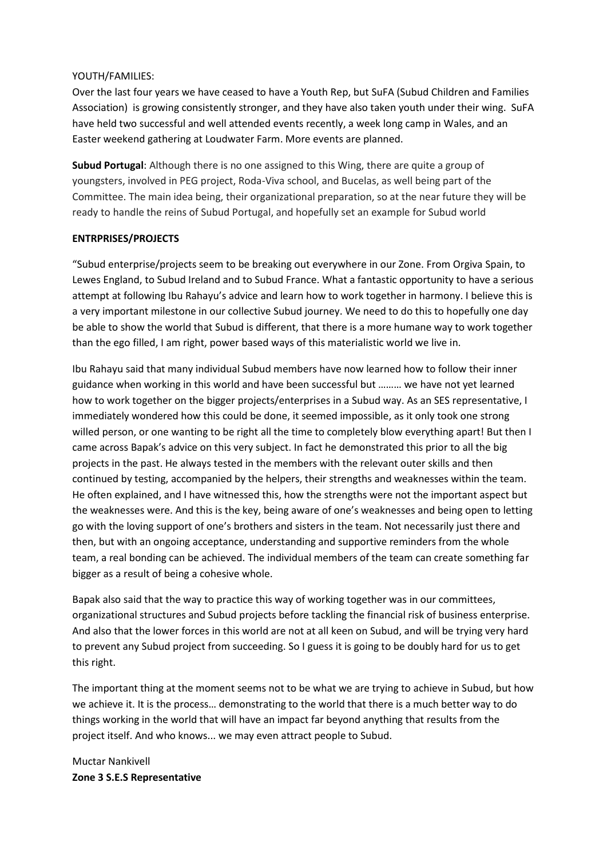## YOUTH/FAMILIES:

Over the last four years we have ceased to have a Youth Rep, but SuFA (Subud Children and Families Association) is growing consistently stronger, and they have also taken youth under their wing. SuFA have held two successful and well attended events recently, a week long camp in Wales, and an Easter weekend gathering at Loudwater Farm. More events are planned.

**Subud Portugal**: Although there is no one assigned to this Wing, there are quite a group of youngsters, involved in PEG project, Roda-Viva school, and Bucelas, as well being part of the Committee. The main idea being, their organizational preparation, so at the near future they will be ready to handle the reins of Subud Portugal, and hopefully set an example for Subud world

# **ENTRPRISES/PROJECTS**

"Subud enterprise/projects seem to be breaking out everywhere in our Zone. From Orgiva Spain, to Lewes England, to Subud Ireland and to Subud France. What a fantastic opportunity to have a serious attempt at following Ibu Rahayu's advice and learn how to work together in harmony. I believe this is a very important milestone in our collective Subud journey. We need to do this to hopefully one day be able to show the world that Subud is different, that there is a more humane way to work together than the ego filled, I am right, power based ways of this materialistic world we live in.

Ibu Rahayu said that many individual Subud members have now learned how to follow their inner guidance when working in this world and have been successful but ……… we have not yet learned how to work together on the bigger projects/enterprises in a Subud way. As an SES representative, I immediately wondered how this could be done, it seemed impossible, as it only took one strong willed person, or one wanting to be right all the time to completely blow everything apart! But then I came across Bapak's advice on this very subject. In fact he demonstrated this prior to all the big projects in the past. He always tested in the members with the relevant outer skills and then continued by testing, accompanied by the helpers, their strengths and weaknesses within the team. He often explained, and I have witnessed this, how the strengths were not the important aspect but the weaknesses were. And this is the key, being aware of one's weaknesses and being open to letting go with the loving support of one's brothers and sisters in the team. Not necessarily just there and then, but with an ongoing acceptance, understanding and supportive reminders from the whole team, a real bonding can be achieved. The individual members of the team can create something far bigger as a result of being a cohesive whole.

Bapak also said that the way to practice this way of working together was in our committees, organizational structures and Subud projects before tackling the financial risk of business enterprise. And also that the lower forces in this world are not at all keen on Subud, and will be trying very hard to prevent any Subud project from succeeding. So I guess it is going to be doubly hard for us to get this right.

The important thing at the moment seems not to be what we are trying to achieve in Subud, but how we achieve it. It is the process… demonstrating to the world that there is a much better way to do things working in the world that will have an impact far beyond anything that results from the project itself. And who knows... we may even attract people to Subud.

Muctar Nankivell **Zone 3 S.E.S Representative**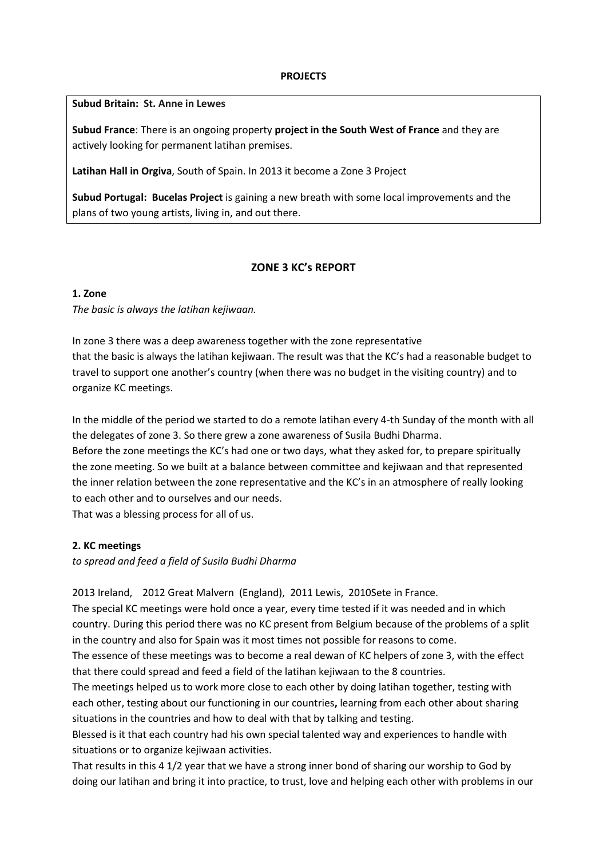#### **PROJECTS**

#### **Subud Britain: St. Anne in Lewes**

**Subud France**: There is an ongoing property **project in the South West of France** and they are actively looking for permanent latihan premises.

**Latihan Hall in Orgiva**, South of Spain. In 2013 it become a Zone 3 Project

**Subud Portugal: Bucelas Project** is gaining a new breath with some local improvements and the plans of two young artists, living in, and out there.

# **ZONE 3 KC's REPORT**

## **1. Zone**

*The basic is always the latihan kejiwaan.*

In zone 3 there was a deep awareness together with the zone representative that the basic is always the latihan kejiwaan. The result was that the KC's had a reasonable budget to travel to support one another's country (when there was no budget in the visiting country) and to organize KC meetings.

In the middle of the period we started to do a remote latihan every 4-th Sunday of the month with all the delegates of zone 3. So there grew a zone awareness of Susila Budhi Dharma.

Before the zone meetings the KC's had one or two days, what they asked for, to prepare spiritually the zone meeting. So we built at a balance between committee and kejiwaan and that represented the inner relation between the zone representative and the KC's in an atmosphere of really looking to each other and to ourselves and our needs.

That was a blessing process for all of us.

## **2. KC meetings**

*to spread and feed a field of Susila Budhi Dharma*

2013 Ireland, 2012 Great Malvern (England), 2011 Lewis, 2010Sete in France.

The special KC meetings were hold once a year, every time tested if it was needed and in which country. During this period there was no KC present from Belgium because of the problems of a split in the country and also for Spain was it most times not possible for reasons to come.

The essence of these meetings was to become a real dewan of KC helpers of zone 3, with the effect that there could spread and feed a field of the latihan kejiwaan to the 8 countries.

The meetings helped us to work more close to each other by doing latihan together, testing with each other, testing about our functioning in our countries**,** learning from each other about sharing situations in the countries and how to deal with that by talking and testing.

Blessed is it that each country had his own special talented way and experiences to handle with situations or to organize kejiwaan activities.

That results in this 4 1/2 year that we have a strong inner bond of sharing our worship to God by doing our latihan and bring it into practice, to trust, love and helping each other with problems in our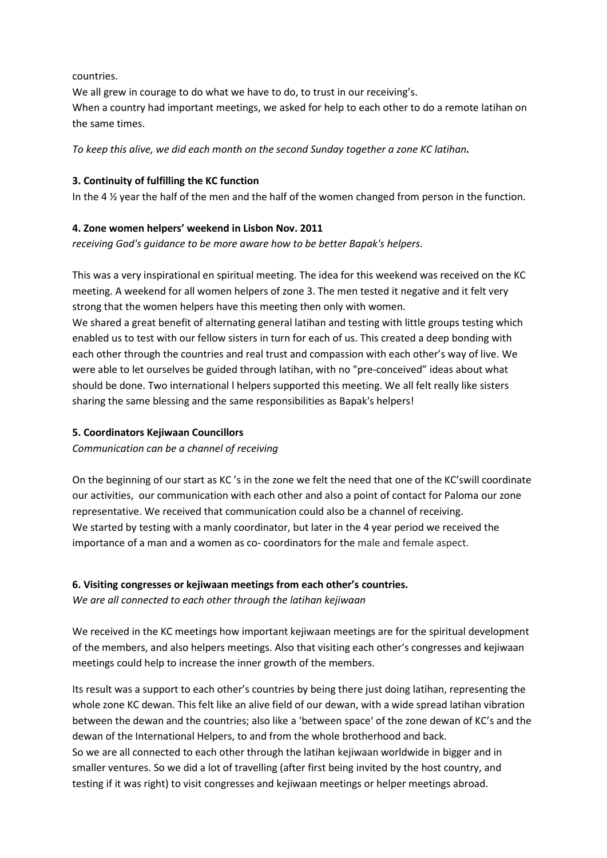countries.

We all grew in courage to do what we have to do, to trust in our receiving's. When a country had important meetings, we asked for help to each other to do a remote latihan on the same times.

*To keep this alive, we did each month on the second Sunday together a zone KC latihan.*

# **3. Continuity of fulfilling the KC function**

In the 4 ½ year the half of the men and the half of the women changed from person in the function.

# **4. Zone women helpers' weekend in Lisbon Nov. 2011**

*receiving God's guidance to be more aware how to be better Bapak's helpers.*

This was a very inspirational en spiritual meeting. The idea for this weekend was received on the KC meeting. A weekend for all women helpers of zone 3. The men tested it negative and it felt very strong that the women helpers have this meeting then only with women.

We shared a great benefit of alternating general latihan and testing with little groups testing which enabled us to test with our fellow sisters in turn for each of us. This created a deep bonding with each other through the countries and real trust and compassion with each other's way of live. We were able to let ourselves be guided through latihan, with no "pre-conceived" ideas about what should be done. Two international l helpers supported this meeting. We all felt really like sisters sharing the same blessing and the same responsibilities as Bapak's helpers!

# **5. Coordinators Kejiwaan Councillors**

*Communication can be a channel of receiving*

On the beginning of our start as KC 's in the zone we felt the need that one of the KC'swill coordinate our activities, our communication with each other and also a point of contact for Paloma our zone representative. We received that communication could also be a channel of receiving. We started by testing with a manly coordinator, but later in the 4 year period we received the importance of a man and a women as co- coordinators for the male and female aspect.

# **6. Visiting congresses or kejiwaan meetings from each other's countries.**

*We are all connected to each other through the latihan kejiwaan*

We received in the KC meetings how important kejiwaan meetings are for the spiritual development of the members, and also helpers meetings. Also that visiting each other's congresses and kejiwaan meetings could help to increase the inner growth of the members.

Its result was a support to each other's countries by being there just doing latihan, representing the whole zone KC dewan. This felt like an alive field of our dewan, with a wide spread latihan vibration between the dewan and the countries; also like a 'between space' of the zone dewan of KC's and the dewan of the International Helpers, to and from the whole brotherhood and back. So we are all connected to each other through the latihan kejiwaan worldwide in bigger and in smaller ventures. So we did a lot of travelling (after first being invited by the host country, and testing if it was right) to visit congresses and kejiwaan meetings or helper meetings abroad.